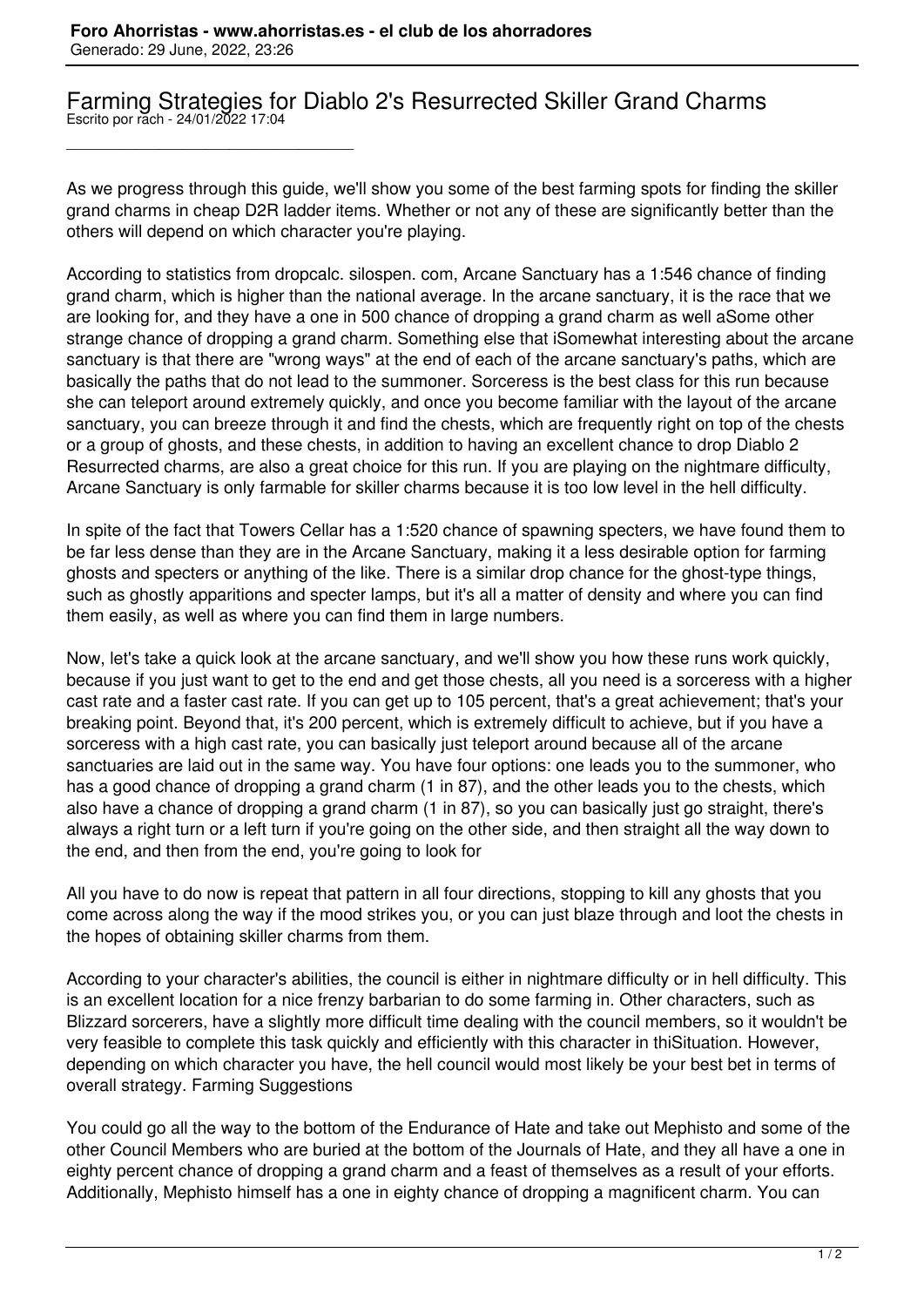\_\_\_\_\_\_\_\_\_\_\_\_\_\_\_\_\_\_\_\_\_\_\_\_\_\_\_\_\_\_\_\_\_\_\_\_\_

## Farming Strategies for Diablo 2's Resurrected Skiller Grand Charms Escrito por rach - 24/01/2022 17:04

As we progress through this guide, we'll show you some of the best farming spots for finding the skiller grand charms in cheap D2R ladder items. Whether or not any of these are significantly better than the others will depend on which character you're playing.

According to statistics from dropcalc. silospen. com, Arcane Sanctuary has a 1:546 chance of finding grand charm, which is higher than the national average. In the arcane sanctuary, it is the race that we are looking for, and they have a one in 500 chance of dropping a grand charm as well aSome other strange chance of dropping a grand charm. Something else that iSomewhat interesting about the arcane sanctuary is that there are "wrong ways" at the end of each of the arcane sanctuary's paths, which are basically the paths that do not lead to the summoner. Sorceress is the best class for this run because she can teleport around extremely quickly, and once you become familiar with the layout of the arcane sanctuary, you can breeze through it and find the chests, which are frequently right on top of the chests or a group of ghosts, and these chests, in addition to having an excellent chance to drop Diablo 2 Resurrected charms, are also a great choice for this run. If you are playing on the nightmare difficulty, Arcane Sanctuary is only farmable for skiller charms because it is too low level in the hell difficulty.

In spite of the fact that Towers Cellar has a 1:520 chance of spawning specters, we have found them to be far less dense than they are in the Arcane Sanctuary, making it a less desirable option for farming ghosts and specters or anything of the like. There is a similar drop chance for the ghost-type things, such as ghostly apparitions and specter lamps, but it's all a matter of density and where you can find them easily, as well as where you can find them in large numbers.

Now, let's take a quick look at the arcane sanctuary, and we'll show you how these runs work quickly, because if you just want to get to the end and get those chests, all you need is a sorceress with a higher cast rate and a faster cast rate. If you can get up to 105 percent, that's a great achievement; that's your breaking point. Beyond that, it's 200 percent, which is extremely difficult to achieve, but if you have a sorceress with a high cast rate, you can basically just teleport around because all of the arcane sanctuaries are laid out in the same way. You have four options: one leads you to the summoner, who has a good chance of dropping a grand charm (1 in 87), and the other leads you to the chests, which also have a chance of dropping a grand charm (1 in 87), so you can basically just go straight, there's always a right turn or a left turn if you're going on the other side, and then straight all the way down to the end, and then from the end, you're going to look for

All you have to do now is repeat that pattern in all four directions, stopping to kill any ghosts that you come across along the way if the mood strikes you, or you can just blaze through and loot the chests in the hopes of obtaining skiller charms from them.

According to your character's abilities, the council is either in nightmare difficulty or in hell difficulty. This is an excellent location for a nice frenzy barbarian to do some farming in. Other characters, such as Blizzard sorcerers, have a slightly more difficult time dealing with the council members, so it wouldn't be very feasible to complete this task quickly and efficiently with this character in thiSituation. However, depending on which character you have, the hell council would most likely be your best bet in terms of overall strategy. Farming Suggestions

You could go all the way to the bottom of the Endurance of Hate and take out Mephisto and some of the other Council Members who are buried at the bottom of the Journals of Hate, and they all have a one in eighty percent chance of dropping a grand charm and a feast of themselves as a result of your efforts. Additionally, Mephisto himself has a one in eighty chance of dropping a magnificent charm. You can